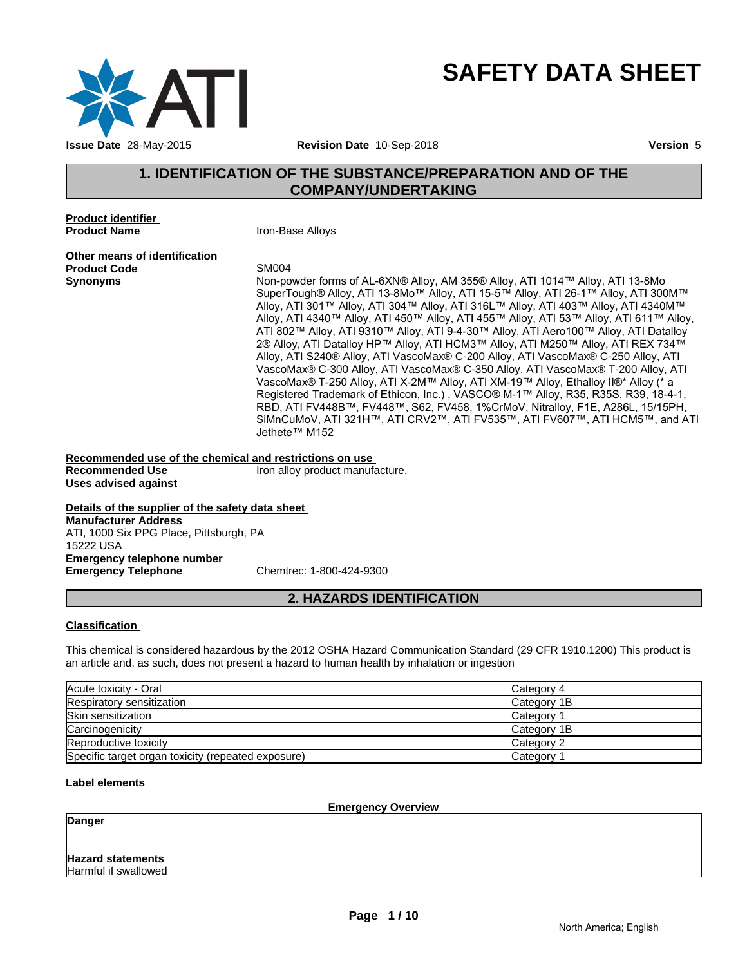

# **SAFETY DATA SHEET**

# **1. IDENTIFICATION OF THE SUBSTANCE/PREPARATION AND OF THE COMPANY/UNDERTAKING**

**Product identifier Product Name Iron-Base Alloys** 

**Other means of identification**<br>**Product Code** SM004 **Product Code**<br>Synonyms

**Synonyms** Non-powder forms of AL-6XN® Alloy, AM 355® Alloy, ATI 1014™ Alloy, ATI 13-8Mo SuperTough® Alloy, ATI 13-8Mo™ Alloy, ATI 15-5™ Alloy, ATI 26-1™ Alloy, ATI 300M™ Alloy, ATI 301™ Alloy, ATI 304™ Alloy, ATI 316L™ Alloy, ATI 403™ Alloy, ATI 4340M™ Alloy, ATI 4340™ Alloy, ATI 450™ Alloy, ATI 455™ Alloy, ATI 53™ Alloy, ATI 611™ Alloy, ATI 802™ Alloy, ATI 9310™ Alloy, ATI 9-4-30™ Alloy, ATI Aero100™ Alloy, ATI Datalloy 2® Alloy, ATI Datalloy HP™ Alloy, ATI HCM3™ Alloy, ATI M250™ Alloy, ATI REX 734™ Alloy, ATI S240® Alloy, ATI VascoMax® C-200 Alloy, ATI VascoMax® C-250 Alloy, ATI VascoMax® C-300 Alloy, ATI VascoMax® C-350 Alloy, ATI VascoMax® T-200 Alloy, ATI VascoMax® T-250 Alloy, ATI X-2M™ Alloy, ATI XM-19™ Alloy, Ethalloy II®\* Alloy (\* a Registered Trademark of Ethicon, Inc.) , VASCO® M-1™ Alloy, R35, R35S, R39, 18-4-1, RBD, ATI FV448B™, FV448™, S62, FV458, 1%CrMoV, Nitralloy, F1E, A286L, 15/15PH, SiMnCuMoV, ATI 321H™, ATI CRV2™, ATI FV535™, ATI FV607™, ATI HCM5™, and ATI Jethete™ M152

**Recommended use of the chemical and restrictions on use**  Iron alloy product manufacture. **Uses advised against**

**Details of the supplier of the safety data sheet Emergency telephone number Emergency Telephone Manufacturer Address** ATI, 1000 Six PPG Place, Pittsburgh, PA 15222 USA

## **2. HAZARDS IDENTIFICATION**

#### **Classification**

This chemical is considered hazardous by the 2012 OSHA Hazard Communication Standard (29 CFR 1910.1200) This product is an article and, as such, does not present a hazard to human health by inhalation or ingestion

| Acute toxicity - Oral                              | Category 4  |
|----------------------------------------------------|-------------|
| Respiratory sensitization                          | Category 1B |
| Skin sensitization                                 | Category    |
| Carcinogenicity                                    | Category 1B |
| Reproductive toxicity                              | Category 2  |
| Specific target organ toxicity (repeated exposure) | Category    |

#### **Label elements**

**Emergency Overview**

**Danger**

**Hazard statements** Harmful if swallowed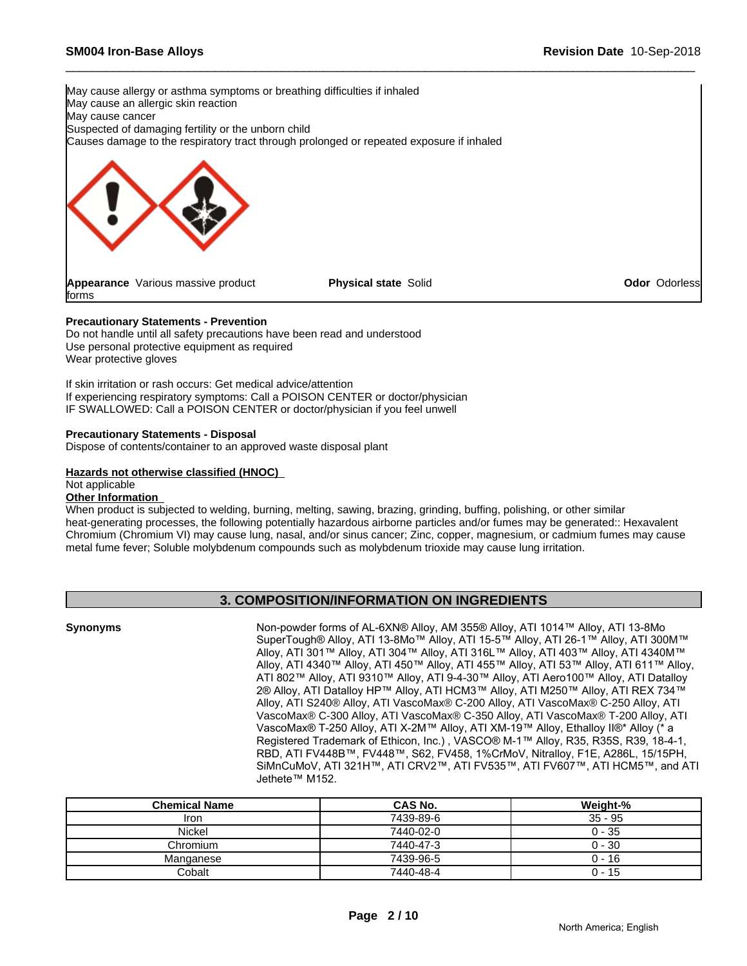

#### **Precautionary Statements - Prevention**

Do not handle until all safety precautions have been read and understood Use personal protective equipment as required Wear protective gloves

If skin irritation or rash occurs: Get medical advice/attention If experiencing respiratory symptoms: Call a POISON CENTER or doctor/physician IF SWALLOWED: Call a POISON CENTER or doctor/physician if you feel unwell

#### **Precautionary Statements - Disposal**

Dispose of contents/container to an approved waste disposal plant

#### **Hazards not otherwise classified (HNOC)**

#### Not applicable

#### **Other Information**

When product is subjected to welding, burning, melting, sawing, brazing, grinding, buffing, polishing, or other similar heat-generating processes, the following potentially hazardous airborne particles and/or fumes may be generated:: Hexavalent Chromium (Chromium VI) may cause lung, nasal, and/or sinus cancer; Zinc, copper, magnesium, or cadmium fumes may cause metal fume fever; Soluble molybdenum compounds such as molybdenum trioxide may cause lung irritation.

# **3. COMPOSITION/INFORMATION ON INGREDIENTS**

**Synonyms** Non-powder forms of AL-6XN® Alloy, AM 355® Alloy, ATI 1014™ Alloy, ATI 13-8Mo SuperTough® Alloy, ATI 13-8Mo™ Alloy, ATI 15-5™ Alloy, ATI 26-1™ Alloy, ATI 300M™ Alloy, ATI 301™ Alloy, ATI 304™ Alloy, ATI 316L™ Alloy, ATI 403™ Alloy, ATI 4340M™ Alloy, ATI 4340™ Alloy, ATI 450™ Alloy, ATI 455™ Alloy, ATI 53™ Alloy, ATI 611™ Alloy, ATI 802™ Alloy, ATI 9310™ Alloy, ATI 9-4-30™ Alloy, ATI Aero100™ Alloy, ATI Datalloy 2® Alloy, ATI Datalloy HP™ Alloy, ATI HCM3™ Alloy, ATI M250™ Alloy, ATI REX 734™ Alloy, ATI S240® Alloy, ATI VascoMax® C-200 Alloy, ATI VascoMax® C-250 Alloy, ATI VascoMax® C-300 Alloy, ATI VascoMax® C-350 Alloy, ATI VascoMax® T-200 Alloy, ATI VascoMax® T-250 Alloy, ATI X-2M™ Alloy, ATI XM-19™ Alloy, Ethalloy II®\* Alloy (\* a Registered Trademark of Ethicon, Inc.) , VASCO® M-1™ Alloy, R35, R35S, R39, 18-4-1, RBD, ATI FV448B™, FV448™, S62, FV458, 1%CrMoV, Nitralloy, F1E, A286L, 15/15PH, SiMnCuMoV, ATI 321H™, ATI CRV2™, ATI FV535™, ATI FV607™, ATI HCM5™, and ATI Jethete™ M152.

| <b>Chemical Name</b> | CAS No.   | Weight-%  |
|----------------------|-----------|-----------|
| Iron                 | 7439-89-6 | $35 - 95$ |
| <b>Nickel</b>        | 7440-02-0 | $0 - 35$  |
| Chromium             | 7440-47-3 | $0 - 30$  |
| Manganese            | 7439-96-5 | $0 - 16$  |
| Cobalt               | 7440-48-4 | 0 - 15    |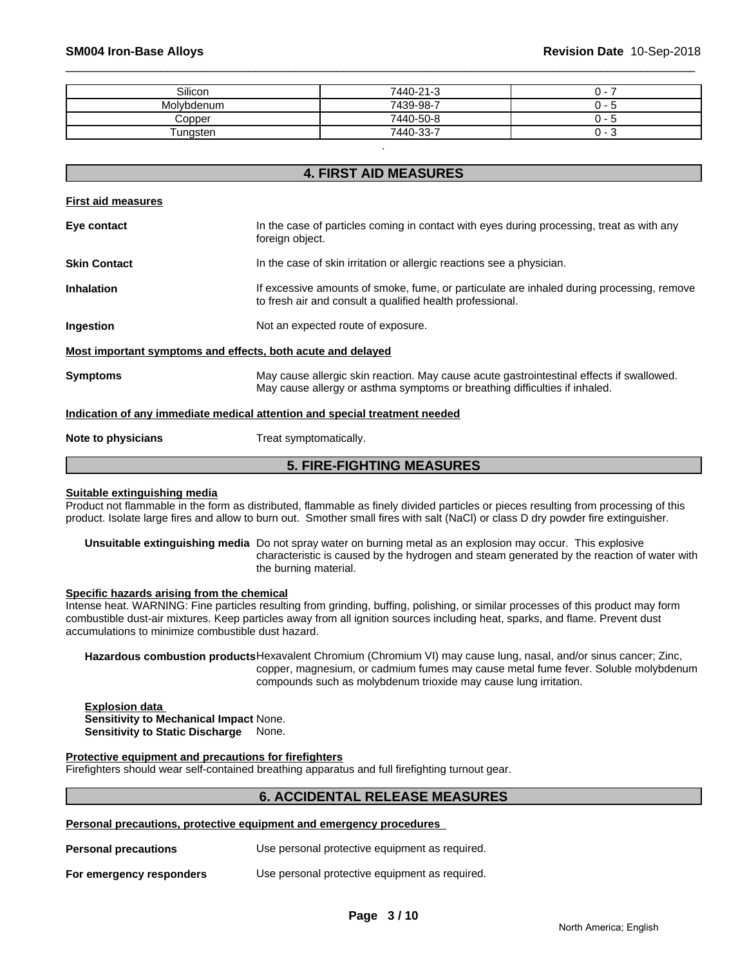| Silicon    | 7440-21-3 | . .<br>ີ           |
|------------|-----------|--------------------|
| Molvbdenum | 7439-98-7 | . -<br>$\cdot$     |
| Copper     | 7440-50-8 | .<br>ີ             |
| Tungsten   | 7440-33-7 | 0 -<br>$\sim$<br>J |

.

# **4. FIRST AID MEASURES First aid measures Eye contact** In the case of particles coming in contact with eyes during processing, treat as with any foreign object. **Skin Contact In the case of skin irritation or allergic reactions see a physician. Inhalation** If excessive amounts of smoke, fume, or particulate are inhaled during processing, remove to fresh air and consult a qualified health professional. **Ingestion** Not an expected route of exposure. **Most important symptoms and effects, both acute and delayed Symptoms** May cause allergic skin reaction. May cause acute gastrointestinal effects if swallowed. May cause allergy or asthma symptoms or breathing difficulties if inhaled. **Indication of any immediate medical attention and special treatment needed**

**Note to physicians** Treat symptomatically.

# **5. FIRE-FIGHTING MEASURES**

#### **Suitable extinguishing media**

Product not flammable in the form as distributed, flammable as finely divided particles or pieces resulting from processing of this product. Isolate large fires and allow to burn out. Smother small fires with salt (NaCl) or class D dry powder fire extinguisher.

**Unsuitable extinguishing media** Do not spray water on burning metal as an explosion may occur. This explosive characteristic is caused by the hydrogen and steam generated by the reaction of water with the burning material.

# **Specific hazards arising from the chemical**

Intense heat. WARNING: Fine particles resulting from grinding, buffing, polishing, or similar processes of this product may form combustible dust-air mixtures. Keep particles away from all ignition sources including heat, sparks, and flame. Prevent dust accumulations to minimize combustible dust hazard.

**Hazardous combustion products**Hexavalent Chromium (Chromium VI) may cause lung, nasal, and/or sinus cancer; Zinc, copper, magnesium, or cadmium fumes may cause metal fume fever. Soluble molybdenum compounds such as molybdenum trioxide may cause lung irritation.

#### **Explosion data Sensitivity to Mechanical Impact** None. **Sensitivity to Static Discharge** None.

#### **Protective equipment and precautions for firefighters**

Firefighters should wear self-contained breathing apparatus and full firefighting turnout gear.

## **6. ACCIDENTAL RELEASE MEASURES**

**Personal precautions, protective equipment and emergency procedures** 

| <b>Personal precautions</b> | Use personal protective equipment as required. |
|-----------------------------|------------------------------------------------|
| For emergency responders    | Use personal protective equipment as required. |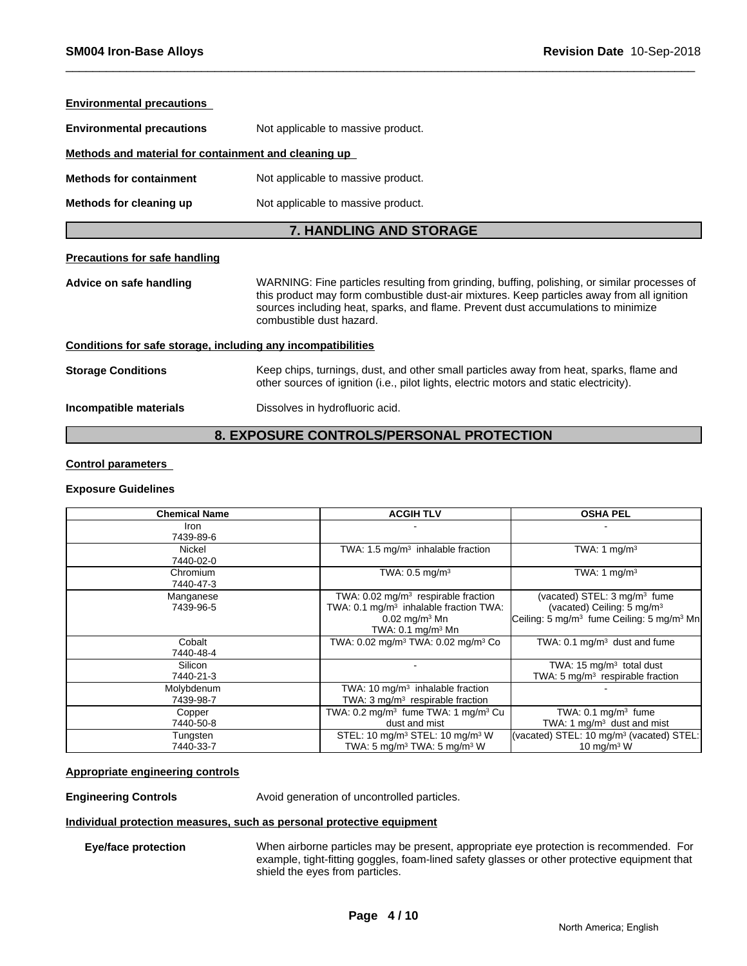| <b>Environmental precautions</b>                             |                                                                                                                                                                                                                                                                                                             |  |  |  |  |  |
|--------------------------------------------------------------|-------------------------------------------------------------------------------------------------------------------------------------------------------------------------------------------------------------------------------------------------------------------------------------------------------------|--|--|--|--|--|
| <b>Environmental precautions</b>                             | Not applicable to massive product.                                                                                                                                                                                                                                                                          |  |  |  |  |  |
| Methods and material for containment and cleaning up         |                                                                                                                                                                                                                                                                                                             |  |  |  |  |  |
| <b>Methods for containment</b>                               | Not applicable to massive product.                                                                                                                                                                                                                                                                          |  |  |  |  |  |
| Methods for cleaning up                                      | Not applicable to massive product.                                                                                                                                                                                                                                                                          |  |  |  |  |  |
|                                                              | <b>7. HANDLING AND STORAGE</b>                                                                                                                                                                                                                                                                              |  |  |  |  |  |
| <b>Precautions for safe handling</b>                         |                                                                                                                                                                                                                                                                                                             |  |  |  |  |  |
| Advice on safe handling                                      | WARNING: Fine particles resulting from grinding, buffing, polishing, or similar processes of<br>this product may form combustible dust-air mixtures. Keep particles away from all ignition<br>sources including heat, sparks, and flame. Prevent dust accumulations to minimize<br>combustible dust hazard. |  |  |  |  |  |
| Conditions for safe storage, including any incompatibilities |                                                                                                                                                                                                                                                                                                             |  |  |  |  |  |
| <b>Storage Conditions</b>                                    | Keep chips, turnings, dust, and other small particles away from heat, sparks, flame and<br>other sources of ignition (i.e., pilot lights, electric motors and static electricity).                                                                                                                          |  |  |  |  |  |
| Incompatible materials                                       | Dissolves in hydrofluoric acid.                                                                                                                                                                                                                                                                             |  |  |  |  |  |
|                                                              |                                                                                                                                                                                                                                                                                                             |  |  |  |  |  |

# **8. EXPOSURE CONTROLS/PERSONAL PROTECTION**

#### **Control parameters**

#### **Exposure Guidelines**

| <b>Chemical Name</b>    | <b>ACGIH TLV</b>                                                                                                                                                       | <b>OSHA PEL</b>                                                                                                                                         |  |
|-------------------------|------------------------------------------------------------------------------------------------------------------------------------------------------------------------|---------------------------------------------------------------------------------------------------------------------------------------------------------|--|
| Iron<br>7439-89-6       |                                                                                                                                                                        |                                                                                                                                                         |  |
| Nickel<br>7440-02-0     | TWA: 1.5 mg/m <sup>3</sup> inhalable fraction                                                                                                                          | TWA: 1 $mg/m3$                                                                                                                                          |  |
| Chromium<br>7440-47-3   | TWA: $0.5 \text{ mg/m}^3$                                                                                                                                              | TWA: 1 mg/m <sup>3</sup>                                                                                                                                |  |
| Manganese<br>7439-96-5  | TWA: $0.02$ mg/m <sup>3</sup> respirable fraction<br>TWA: 0.1 mg/m <sup>3</sup> inhalable fraction TWA:<br>$0.02$ mg/m <sup>3</sup> Mn<br>TWA: $0.1 \text{ mg/m}^3$ Mn | (vacated) STEL: 3 mg/m <sup>3</sup> fume<br>(vacated) Ceiling: 5 mg/m <sup>3</sup><br>Ceiling: 5 mg/m <sup>3</sup> fume Ceiling: 5 mg/m <sup>3</sup> Mn |  |
| Cobalt<br>7440-48-4     | TWA: 0.02 mg/m <sup>3</sup> TWA: 0.02 mg/m <sup>3</sup> Co                                                                                                             | TWA: 0.1 mg/m <sup>3</sup> dust and fume                                                                                                                |  |
| Silicon<br>7440-21-3    |                                                                                                                                                                        | TWA: 15 $mg/m3$ total dust<br>TWA: 5 mg/m <sup>3</sup> respirable fraction                                                                              |  |
| Molybdenum<br>7439-98-7 | TWA: 10 mg/m <sup>3</sup> inhalable fraction<br>TWA: $3 \text{ mg/m}^3$ respirable fraction                                                                            |                                                                                                                                                         |  |
| Copper<br>7440-50-8     | TWA: 0.2 mg/m <sup>3</sup> fume TWA: 1 mg/m <sup>3</sup> Cu<br>dust and mist                                                                                           | TWA: $0.1 \text{ mg/m}^3$ fume<br>TWA: 1 $mg/m3$ dust and mist                                                                                          |  |
| Tungsten<br>7440-33-7   | STEL: 10 mg/m <sup>3</sup> STEL: 10 mg/m <sup>3</sup> W<br>TWA: 5 mg/m <sup>3</sup> TWA: 5 mg/m <sup>3</sup> W                                                         | (vacated) STEL: 10 mg/m <sup>3</sup> (vacated) STEL:<br>10 mg/m $3 \text{ W}$                                                                           |  |

#### **Appropriate engineering controls**

**Engineering Controls Avoid generation of uncontrolled particles.** 

### **Individual protection measures, such as personal protective equipment**

**Eye/face protection** When airborne particles may be present, appropriate eye protection is recommended. For example, tight-fitting goggles, foam-lined safety glasses or other protective equipment that shield the eyes from particles.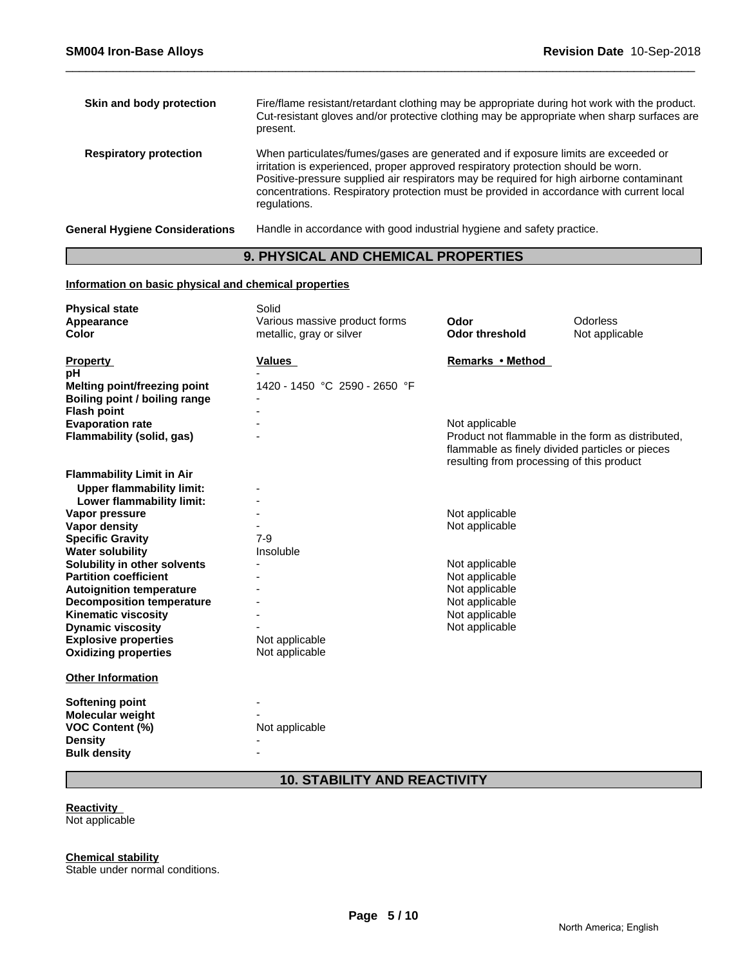| Skin and body protection       | Fire/flame resistant/retardant clothing may be appropriate during hot work with the product.<br>Cut-resistant gloves and/or protective clothing may be appropriate when sharp surfaces are<br>present.                                                                                                                                                                          |
|--------------------------------|---------------------------------------------------------------------------------------------------------------------------------------------------------------------------------------------------------------------------------------------------------------------------------------------------------------------------------------------------------------------------------|
| <b>Respiratory protection</b>  | When particulates/fumes/gases are generated and if exposure limits are exceeded or<br>irritation is experienced, proper approved respiratory protection should be worn.<br>Positive-pressure supplied air respirators may be required for high airborne contaminant<br>concentrations. Respiratory protection must be provided in accordance with current local<br>regulations. |
| General Hygiene Considerations | Handle in accordance with good industrial hygiene and safety practice.                                                                                                                                                                                                                                                                                                          |

# **9. PHYSICAL AND CHEMICAL PROPERTIES**

### **Information on basic physical and chemical properties**

| Remarks • Method<br>Values<br>1420 - 1450 °C 2590 - 2650 °F<br><b>Melting point/freezing point</b><br>Boiling point / boiling range<br><b>Flash point</b><br><b>Evaporation rate</b><br>Not applicable<br>Product not flammable in the form as distributed.<br>Flammability (solid, gas)<br>flammable as finely divided particles or pieces<br>resulting from processing of this product<br><b>Upper flammability limit:</b><br>Lower flammability limit:<br>Not applicable<br>Not applicable<br>$7-9$<br>Insoluble<br>Not applicable<br>Not applicable<br>Not applicable<br>Not applicable<br>Not applicable<br>Not applicable<br>Not applicable<br>Not applicable | <b>Physical state</b><br>Appearance<br><b>Color</b> | Solid<br>Various massive product forms<br>metallic, gray or silver | Odor<br><b>Odor threshold</b> | Odorless<br>Not applicable |
|---------------------------------------------------------------------------------------------------------------------------------------------------------------------------------------------------------------------------------------------------------------------------------------------------------------------------------------------------------------------------------------------------------------------------------------------------------------------------------------------------------------------------------------------------------------------------------------------------------------------------------------------------------------------|-----------------------------------------------------|--------------------------------------------------------------------|-------------------------------|----------------------------|
|                                                                                                                                                                                                                                                                                                                                                                                                                                                                                                                                                                                                                                                                     | <b>Property</b>                                     |                                                                    |                               |                            |
|                                                                                                                                                                                                                                                                                                                                                                                                                                                                                                                                                                                                                                                                     | рH                                                  |                                                                    |                               |                            |
|                                                                                                                                                                                                                                                                                                                                                                                                                                                                                                                                                                                                                                                                     |                                                     |                                                                    |                               |                            |
|                                                                                                                                                                                                                                                                                                                                                                                                                                                                                                                                                                                                                                                                     |                                                     |                                                                    |                               |                            |
|                                                                                                                                                                                                                                                                                                                                                                                                                                                                                                                                                                                                                                                                     |                                                     |                                                                    |                               |                            |
|                                                                                                                                                                                                                                                                                                                                                                                                                                                                                                                                                                                                                                                                     |                                                     |                                                                    |                               |                            |
|                                                                                                                                                                                                                                                                                                                                                                                                                                                                                                                                                                                                                                                                     |                                                     |                                                                    |                               |                            |
|                                                                                                                                                                                                                                                                                                                                                                                                                                                                                                                                                                                                                                                                     | <b>Flammability Limit in Air</b>                    |                                                                    |                               |                            |
|                                                                                                                                                                                                                                                                                                                                                                                                                                                                                                                                                                                                                                                                     |                                                     |                                                                    |                               |                            |
|                                                                                                                                                                                                                                                                                                                                                                                                                                                                                                                                                                                                                                                                     |                                                     |                                                                    |                               |                            |
|                                                                                                                                                                                                                                                                                                                                                                                                                                                                                                                                                                                                                                                                     | Vapor pressure                                      |                                                                    |                               |                            |
|                                                                                                                                                                                                                                                                                                                                                                                                                                                                                                                                                                                                                                                                     | Vapor density                                       |                                                                    |                               |                            |
|                                                                                                                                                                                                                                                                                                                                                                                                                                                                                                                                                                                                                                                                     | <b>Specific Gravity</b>                             |                                                                    |                               |                            |
|                                                                                                                                                                                                                                                                                                                                                                                                                                                                                                                                                                                                                                                                     | <b>Water solubility</b>                             |                                                                    |                               |                            |
|                                                                                                                                                                                                                                                                                                                                                                                                                                                                                                                                                                                                                                                                     | Solubility in other solvents                        |                                                                    |                               |                            |
|                                                                                                                                                                                                                                                                                                                                                                                                                                                                                                                                                                                                                                                                     | <b>Partition coefficient</b>                        |                                                                    |                               |                            |
|                                                                                                                                                                                                                                                                                                                                                                                                                                                                                                                                                                                                                                                                     | <b>Autoignition temperature</b>                     |                                                                    |                               |                            |
|                                                                                                                                                                                                                                                                                                                                                                                                                                                                                                                                                                                                                                                                     | <b>Decomposition temperature</b>                    |                                                                    |                               |                            |
|                                                                                                                                                                                                                                                                                                                                                                                                                                                                                                                                                                                                                                                                     | <b>Kinematic viscosity</b>                          |                                                                    |                               |                            |
|                                                                                                                                                                                                                                                                                                                                                                                                                                                                                                                                                                                                                                                                     | <b>Dynamic viscosity</b>                            |                                                                    |                               |                            |
|                                                                                                                                                                                                                                                                                                                                                                                                                                                                                                                                                                                                                                                                     | <b>Explosive properties</b>                         |                                                                    |                               |                            |
|                                                                                                                                                                                                                                                                                                                                                                                                                                                                                                                                                                                                                                                                     | <b>Oxidizing properties</b>                         |                                                                    |                               |                            |
|                                                                                                                                                                                                                                                                                                                                                                                                                                                                                                                                                                                                                                                                     | <b>Other Information</b>                            |                                                                    |                               |                            |
|                                                                                                                                                                                                                                                                                                                                                                                                                                                                                                                                                                                                                                                                     | <b>Softening point</b>                              |                                                                    |                               |                            |
|                                                                                                                                                                                                                                                                                                                                                                                                                                                                                                                                                                                                                                                                     | Molecular weight                                    |                                                                    |                               |                            |
| Not applicable                                                                                                                                                                                                                                                                                                                                                                                                                                                                                                                                                                                                                                                      | <b>VOC Content (%)</b>                              |                                                                    |                               |                            |
|                                                                                                                                                                                                                                                                                                                                                                                                                                                                                                                                                                                                                                                                     | <b>Density</b>                                      |                                                                    |                               |                            |
|                                                                                                                                                                                                                                                                                                                                                                                                                                                                                                                                                                                                                                                                     | <b>Bulk density</b>                                 |                                                                    |                               |                            |

# **10. STABILITY AND REACTIVITY**

# **Reactivity**

Not applicable

**Chemical stability**

Stable under normal conditions.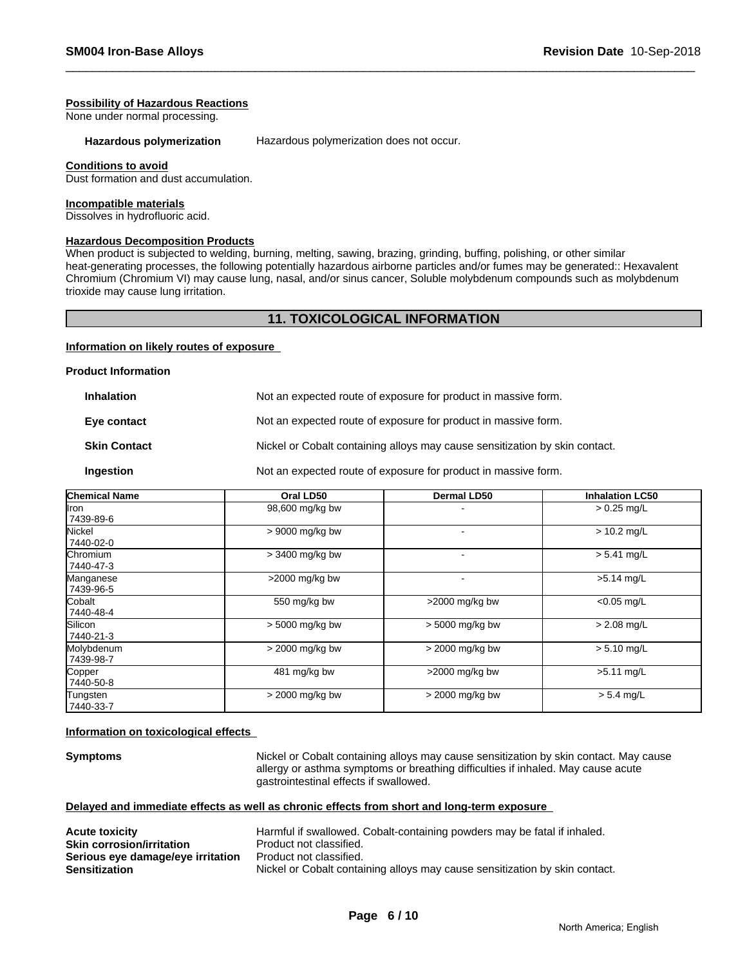#### **Possibility of Hazardous Reactions**

None under normal processing.

Hazardous polymerization **Hazardous polymerization does not occur.** 

#### **Conditions to avoid**

Dust formation and dust accumulation.

#### **Incompatible materials**

Dissolves in hydrofluoric acid.

#### **Hazardous Decomposition Products**

When product is subjected to welding, burning, melting, sawing, brazing, grinding, buffing, polishing, or other similar heat-generating processes, the following potentially hazardous airborne particles and/or fumes may be generated:: Hexavalent Chromium (Chromium VI) may cause lung, nasal, and/or sinus cancer, Soluble molybdenum compounds such as molybdenum trioxide may cause lung irritation.

### **11. TOXICOLOGICAL INFORMATION**

#### **Information on likely routes of exposure**

#### **Product Information**

| <b>Inhalation</b> | Not an expected route of exposure for product in massive form. |
|-------------------|----------------------------------------------------------------|
|-------------------|----------------------------------------------------------------|

**Eye contact** Not an expected route of exposure for product in massive form.

**Skin Contact** Nickel or Cobalt containing alloys may cause sensitization by skin contact.

#### **Ingestion** Not an expected route of exposure for product in massive form.

| <b>Chemical Name</b>        | Oral LD50        | Dermal LD50     | <b>Inhalation LC50</b> |
|-----------------------------|------------------|-----------------|------------------------|
| llron<br>7439-89-6          | 98,600 mg/kg bw  |                 | $> 0.25$ mg/L          |
| Nickel<br>7440-02-0         | > 9000 mg/kg bw  |                 | $> 10.2$ mg/L          |
| Chromium<br>7440-47-3       | > 3400 mg/kg bw  |                 | $> 5.41$ mg/L          |
| Manganese<br>7439-96-5      | $>2000$ mg/kg bw |                 | $>5.14$ mg/L           |
| Cobalt<br>7440-48-4         | 550 mg/kg bw     | >2000 mg/kg bw  | $< 0.05$ mg/L          |
| <b>Silicon</b><br>7440-21-3 | > 5000 mg/kg bw  | > 5000 mg/kg bw | $> 2.08$ mg/L          |
| Molybdenum<br>7439-98-7     | > 2000 mg/kg bw  | > 2000 mg/kg bw | $> 5.10$ mg/L          |
| Copper<br>7440-50-8         | 481 mg/kg bw     | >2000 mg/kg bw  | $>5.11$ mg/L           |
| Tungsten<br>7440-33-7       | > 2000 mg/kg bw  | > 2000 mg/kg bw | $> 5.4$ mg/L           |

#### **Information on toxicological effects**

**Symptoms** Nickel or Cobalt containing alloys may cause sensitization by skin contact. May cause allergy or asthma symptoms or breathing difficulties if inhaled. May cause acute gastrointestinal effects if swallowed.

# **Delayed and immediate effects as well as chronic effects from short and long-term exposure**

| <b>Acute toxicity</b>             | Harmful if swallowed. Cobalt-containing powders may be fatal if inhaled.    |
|-----------------------------------|-----------------------------------------------------------------------------|
| <b>Skin corrosion/irritation</b>  | Product not classified.                                                     |
| Serious eye damage/eye irritation | Product not classified.                                                     |
| <b>Sensitization</b>              | Nickel or Cobalt containing alloys may cause sensitization by skin contact. |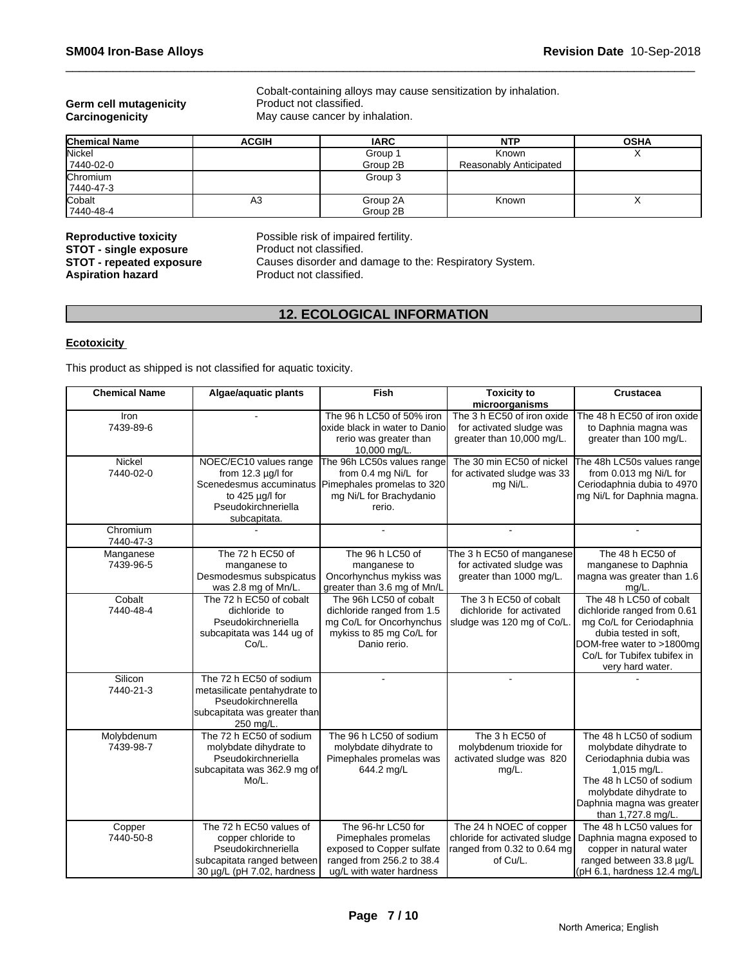# **Germ cell mutagenicity** Product not classified.<br> **Carcinogenicity** May cause cancer by i

Cobalt-containing alloys may cause sensitization by inhalation. May cause cancer by inhalation.

| <b>Chemical Name</b> | <b>ACGIH</b> | <b>IARC</b> | <b>NTP</b>             | <b>OSHA</b> |
|----------------------|--------------|-------------|------------------------|-------------|
| Nickel               |              | Group       | Known                  | $\lambda$   |
| 7440-02-0            |              | Group 2B    | Reasonably Anticipated |             |
| Chromium             |              | Group 3     |                        |             |
| 7440-47-3            |              |             |                        |             |
| Cobalt               | A3           | Group 2A    | Known                  |             |
| 7440-48-4            |              | Group 2B    |                        |             |

# **Reproductive toxicity** Possible risk of impaired fertility.<br>**STOT - single exposure** Product not classified. **STOT - single exposure<br>STOT - repeated exposure Aspiration hazard**

Causes disorder and damage to the: Respiratory System.<br>Product not classified.

# **12. ECOLOGICAL INFORMATION**

### **Ecotoxicity**

This product as shipped is not classified for aquatic toxicity.

| <b>Chemical Name</b>    | Algae/aquatic plants                                                                                                             | <b>Fish</b>                                                                                                                                   | <b>Toxicity to</b><br>microorganisms                                                | <b>Crustacea</b>                                                                                                                                                                                   |
|-------------------------|----------------------------------------------------------------------------------------------------------------------------------|-----------------------------------------------------------------------------------------------------------------------------------------------|-------------------------------------------------------------------------------------|----------------------------------------------------------------------------------------------------------------------------------------------------------------------------------------------------|
| Iron<br>7439-89-6       |                                                                                                                                  | The 96 h LC50 of 50% iron<br>loxide black in water to Danio<br>rerio was greater than<br>10,000 mg/L.                                         | The 3 h EC50 of iron oxide<br>for activated sludge was<br>greater than 10,000 mg/L. | The 48 h EC50 of iron oxide<br>to Daphnia magna was<br>greater than 100 mg/L.                                                                                                                      |
| Nickel<br>7440-02-0     | NOEC/EC10 values range<br>from $12.3 \mu g/l$ for<br>to $425 \mu g/l$ for<br>Pseudokirchneriella<br>subcapitata.                 | The 96h LC50s values range<br>from 0.4 mg Ni/L for<br>Scenedesmus accuminatus Pimephales promelas to 320<br>mg Ni/L for Brachydanio<br>rerio. | The 30 min EC50 of nickel<br>for activated sludge was 33<br>mg Ni/L.                | The 48h LC50s values range<br>from 0.013 mg Ni/L for<br>Ceriodaphnia dubia to 4970<br>mg Ni/L for Daphnia magna.                                                                                   |
| Chromium<br>7440-47-3   |                                                                                                                                  |                                                                                                                                               | $\sim$                                                                              |                                                                                                                                                                                                    |
| Manganese<br>7439-96-5  | The 72 h EC50 of<br>manganese to<br>Desmodesmus subspicatus<br>was 2.8 mg of Mn/L.                                               | The 96 h LC50 of<br>manganese to<br>Oncorhynchus mykiss was<br>greater than 3.6 mg of Mn/L                                                    | The 3 h EC50 of manganese<br>for activated sludge was<br>greater than 1000 mg/L.    | The 48 h EC50 of<br>manganese to Daphnia<br>magna was greater than 1.6<br>$mq/L$ .                                                                                                                 |
| Cobalt<br>7440-48-4     | The 72 h EC50 of cobalt<br>dichloride to<br>Pseudokirchneriella<br>subcapitata was 144 ug of<br>Co/L.                            | The 96h LC50 of cobalt<br>dichloride ranged from 1.5<br>mg Co/L for Oncorhynchus<br>mykiss to 85 mg Co/L for<br>Danio rerio.                  | The 3 h EC50 of cobalt<br>dichloride for activated<br>sludge was 120 mg of Co/L.    | The 48 h LC50 of cobalt<br>dichloride ranged from 0.61<br>mg Co/L for Ceriodaphnia<br>dubia tested in soft.<br>DOM-free water to >1800mg<br>Co/L for Tubifex tubifex in<br>very hard water.        |
| Silicon<br>7440-21-3    | The 72 h EC50 of sodium<br>metasilicate pentahydrate to<br>Pseudokirchnerella<br>subcapitata was greater than<br>250 mg/L.       |                                                                                                                                               | ÷                                                                                   |                                                                                                                                                                                                    |
| Molybdenum<br>7439-98-7 | The 72 h EC50 of sodium<br>molybdate dihydrate to<br>Pseudokirchneriella<br>subcapitata was 362.9 mg of<br>Mo/L.                 | The 96 h LC50 of sodium<br>molybdate dihydrate to<br>Pimephales promelas was<br>644.2 mg/L                                                    | The 3 h EC50 of<br>molybdenum trioxide for<br>activated sludge was 820<br>mg/L.     | The 48 h LC50 of sodium<br>molybdate dihydrate to<br>Ceriodaphnia dubia was<br>1,015 mg/L.<br>The 48 h LC50 of sodium<br>molybdate dihydrate to<br>Daphnia magna was greater<br>than 1,727.8 mg/L. |
| Copper<br>7440-50-8     | The 72 h EC50 values of<br>copper chloride to<br>Pseudokirchneriella<br>subcapitata ranged between<br>30 µg/L (pH 7.02, hardness | The 96-hr LC50 for<br>Pimephales promelas<br>exposed to Copper sulfate<br>ranged from 256.2 to 38.4<br>ug/L with water hardness               | The 24 h NOEC of copper<br>ranged from 0.32 to 0.64 mg<br>of Cu/L.                  | The 48 h LC50 values for<br>chloride for activated sludge   Daphnia magna exposed to<br>copper in natural water<br>ranged between 33.8 µg/L<br>(pH 6.1, hardness 12.4 mg/L                         |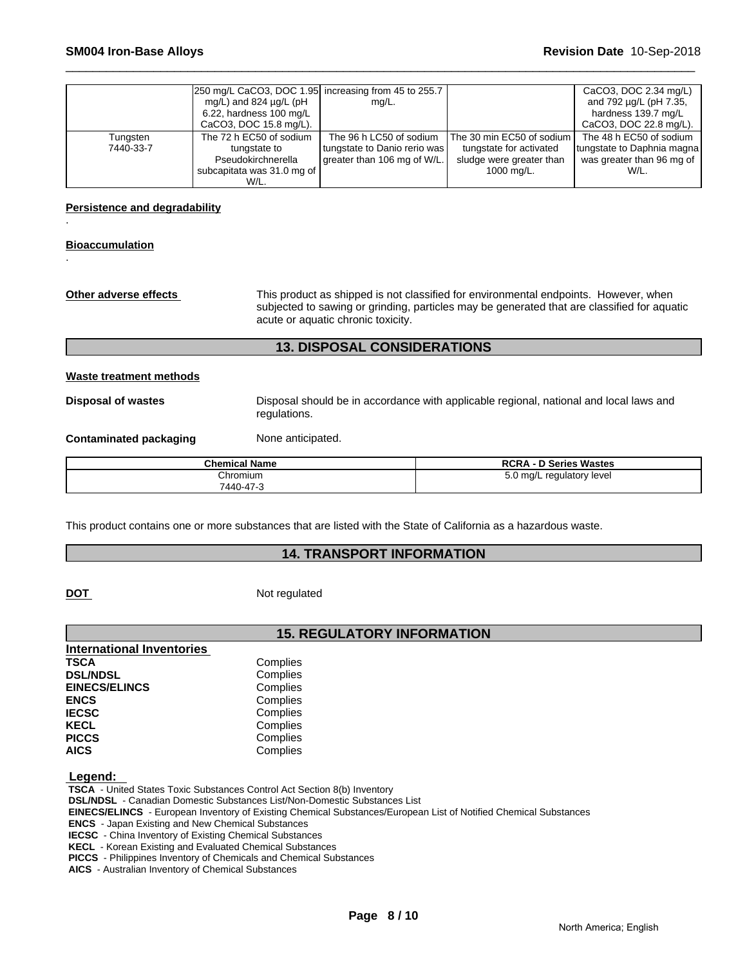|           | 250 mg/L CaCO3, DOC 1.95 increasing from 45 to 255.7<br>mg/L) and 824 $\mu$ g/L (pH<br>$6.22$ , hardness 100 mg/L | mg/L.                        |                             | CaCO3, DOC 2.34 mg/L)<br>and 792 µg/L (pH 7.35,<br>hardness 139.7 mg/L |
|-----------|-------------------------------------------------------------------------------------------------------------------|------------------------------|-----------------------------|------------------------------------------------------------------------|
|           | CaCO3, DOC 15.8 mg/L).                                                                                            |                              |                             | CaCO3, DOC 22.8 mg/L).                                                 |
| Tungsten  | The 72 h EC50 of sodium                                                                                           | The 96 h LC50 of sodium      | The 30 min EC50 of sodium I | The 48 h EC50 of sodium                                                |
| 7440-33-7 | tungstate to                                                                                                      | tungstate to Danio rerio was | tungstate for activated     | tungstate to Daphnia magna                                             |
|           | Pseudokirchnerella                                                                                                | greater than 106 mg of W/L.  | sludge were greater than    | was greater than 96 mg of                                              |
|           | subcapitata was 31.0 mg of                                                                                        |                              | 1000 mg/L.                  | W/L.                                                                   |
|           | W/L.                                                                                                              |                              |                             |                                                                        |

**Persistence and degradability**

#### **Bioaccumulation**

.

.

**Other adverse effects** This product as shipped is not classified for environmental endpoints. However, when subjected to sawing or grinding, particles may be generated that are classified for aquatic acute or aquatic chronic toxicity.

### **13. DISPOSAL CONSIDERATIONS**

#### **Waste treatment methods**

**Disposal of wastes** Disposal should be in accordance with applicable regional, national and local laws and regulations.

#### **Contaminated packaging Mone anticipated.**

| <b>Chemical Name</b> | <b>RCRA - D Series Wastes</b> |
|----------------------|-------------------------------|
| Chromium             | 5.0 mg/L regulatory level     |
| 7440-47-3            |                               |

This product contains one or more substances that are listed with the State of California as a hazardous waste.

## **14. TRANSPORT INFORMATION**

**DOT** Not regulated

# **15. REGULATORY INFORMATION**

| <b>International Inventories</b> |          |  |
|----------------------------------|----------|--|
| TSCA                             | Complies |  |
| <b>DSL/NDSL</b>                  | Complies |  |
| <b>EINECS/ELINCS</b>             | Complies |  |
| <b>ENCS</b>                      | Complies |  |
| <b>IECSC</b>                     | Complies |  |
| KECL                             | Complies |  |
| <b>PICCS</b>                     | Complies |  |
| AICS                             | Complies |  |
|                                  |          |  |

 **Legend:** 

 **TSCA** - United States Toxic Substances Control Act Section 8(b) Inventory

 **DSL/NDSL** - Canadian Domestic Substances List/Non-Domestic Substances List

 **EINECS/ELINCS** - European Inventory of Existing Chemical Substances/European List of Notified Chemical Substances

 **ENCS** - Japan Existing and New Chemical Substances

 **IECSC** - China Inventory of Existing Chemical Substances

 **KECL** - Korean Existing and Evaluated Chemical Substances

 **PICCS** - Philippines Inventory of Chemicals and Chemical Substances

 **AICS** - Australian Inventory of Chemical Substances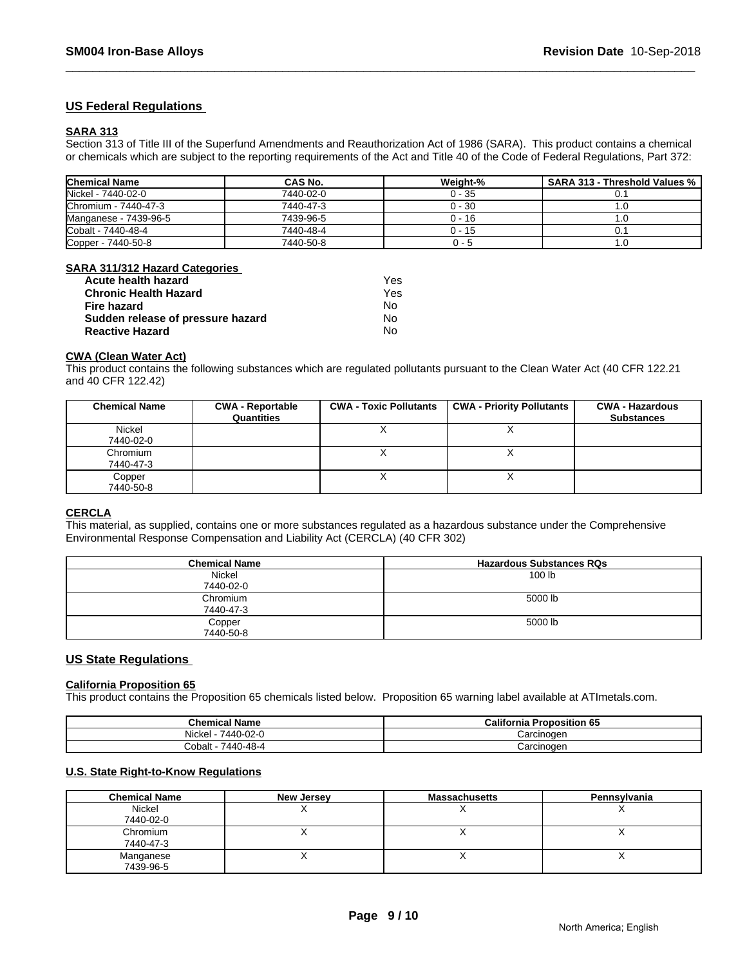### **US Federal Regulations**

#### **SARA 313**

Section 313 of Title III of the Superfund Amendments and Reauthorization Act of 1986 (SARA). This product contains a chemical or chemicals which are subject to the reporting requirements of the Act and Title 40 of the Code of Federal Regulations, Part 372:

| <b>Chemical Name</b>  | CAS No.   | Weight-% | <b>SARA 313 - Threshold Values %</b> |
|-----------------------|-----------|----------|--------------------------------------|
| Nickel - 7440-02-0    | 7440-02-0 | $0 - 35$ |                                      |
| Chromium - 7440-47-3  | 7440-47-3 | $0 - 30$ | ، ا                                  |
| Manganese - 7439-96-5 | 7439-96-5 | 0 - 16   | ، ا                                  |
| Cobalt - 7440-48-4    | 7440-48-4 | $0 - 15$ |                                      |
| Copper - 7440-50-8    | 7440-50-8 | U - 5    | IJ.                                  |

#### **SARA 311/312 Hazard Categories**

| Acute health hazard               | Yes |
|-----------------------------------|-----|
| <b>Chronic Health Hazard</b>      | Yes |
| Fire hazard                       | N٥  |
| Sudden release of pressure hazard | No. |
| <b>Reactive Hazard</b>            | No  |

#### **CWA (Clean Water Act)**

This product contains the following substances which are regulated pollutants pursuant to the Clean Water Act (40 CFR 122.21 and 40 CFR 122.42)

| <b>Chemical Name</b>  | <b>CWA - Reportable</b><br>Quantities | <b>CWA - Toxic Pollutants</b> | <b>CWA - Priority Pollutants</b> | <b>CWA - Hazardous</b><br><b>Substances</b> |
|-----------------------|---------------------------------------|-------------------------------|----------------------------------|---------------------------------------------|
| Nickel<br>7440-02-0   |                                       |                               |                                  |                                             |
| Chromium<br>7440-47-3 |                                       |                               |                                  |                                             |
| Copper<br>7440-50-8   |                                       |                               |                                  |                                             |

#### **CERCLA**

This material, as supplied, contains one or more substances regulated as a hazardous substance under the Comprehensive Environmental Response Compensation and Liability Act (CERCLA) (40 CFR 302)

| <b>Chemical Name</b> | <b>Hazardous Substances RQs</b> |
|----------------------|---------------------------------|
| Nickel               | 100 <sub>lb</sub>               |
| 7440-02-0            |                                 |
| Chromium             | 5000 lb                         |
| 7440-47-3            |                                 |
| Copper               | 5000 lb                         |
| 7440-50-8            |                                 |

#### **US State Regulations**

#### **California Proposition 65**

This product contains the Proposition 65 chemicals listed below. Proposition 65 warning label available at ATImetals.com.

| <b>Chemical Name</b>                              | California<br><b>Proposition 65</b> |
|---------------------------------------------------|-------------------------------------|
| <b>Nickel</b><br>7440-02-0                        | `oroinoqon<br>arcinouer.            |
| 0-48-4<br>Cobalt<br>$\sqrt{440}$<br>$\rightarrow$ | `oroinoqon<br><b>JAIUILIUUEI</b>    |

## **U.S. State Right-to-Know Regulations**

| <b>Chemical Name</b> | New Jersey | <b>Massachusetts</b> | Pennsylvania |
|----------------------|------------|----------------------|--------------|
| Nickel               |            |                      |              |
| 7440-02-0            |            |                      |              |
| Chromium             |            |                      |              |
| 7440-47-3            |            |                      |              |
| Manganese            |            |                      |              |
| 7439-96-5            |            |                      |              |